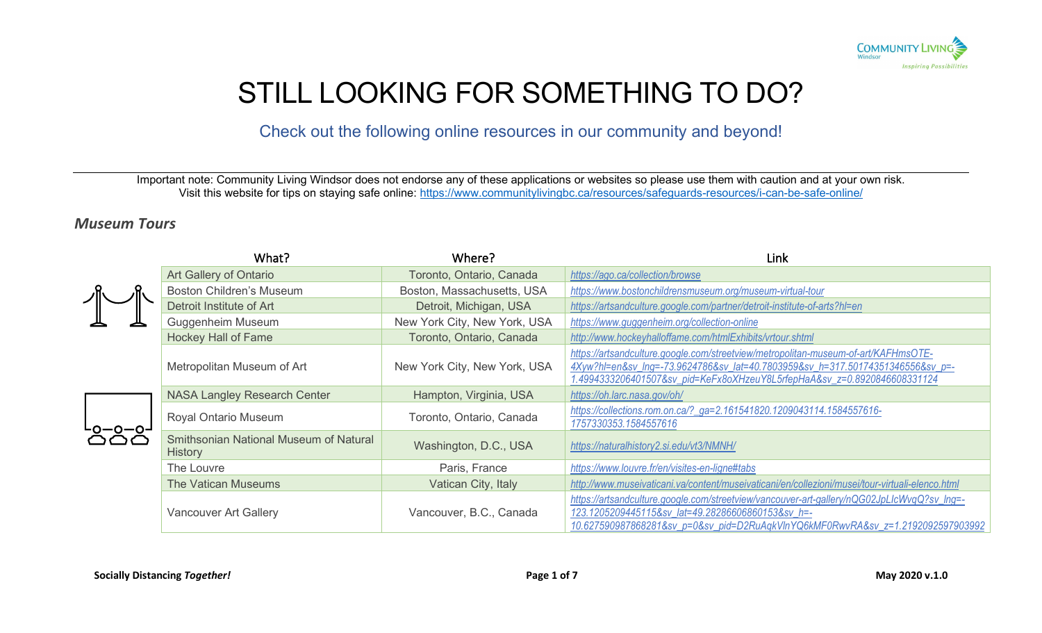

# STILL LOOKING FOR SOMETHING TO DO?

Check out the following online resources in our community and beyond!

Important note: Community Living Windsor does not endorse any of these applications or websites so please use them with caution and at your own risk. Visit this website for tips on staying safe online:<https://www.communitylivingbc.ca/resources/safeguards-resources/i-can-be-safe-online/>

#### *Museum Tours*

|  | What?                                                    | Where?                       | Link                                                                                                                                                                                                                                             |
|--|----------------------------------------------------------|------------------------------|--------------------------------------------------------------------------------------------------------------------------------------------------------------------------------------------------------------------------------------------------|
|  | Art Gallery of Ontario                                   | Toronto, Ontario, Canada     | https://ago.ca/collection/browse                                                                                                                                                                                                                 |
|  | <b>Boston Children's Museum</b>                          | Boston, Massachusetts, USA   | https://www.bostonchildrensmuseum.org/museum-virtual-tour                                                                                                                                                                                        |
|  | Detroit Institute of Art                                 | Detroit, Michigan, USA       | https://artsandculture.google.com/partner/detroit-institute-of-arts?hl=en                                                                                                                                                                        |
|  | <b>Guggenheim Museum</b>                                 | New York City, New York, USA | https://www.guggenheim.org/collection-online                                                                                                                                                                                                     |
|  | <b>Hockey Hall of Fame</b>                               | Toronto, Ontario, Canada     | http://www.hockeyhalloffame.com/htmlExhibits/vrtour.shtml                                                                                                                                                                                        |
|  | Metropolitan Museum of Art                               | New York City, New York, USA | https://artsandculture.google.com/streetview/metropolitan-museum-of-art/KAFHmsOTE-<br>4Xyw?hl=en&sv_Ing=-73.9624786&sv_lat=40.7803959&sv_h=317.50174351346556&sv_p=-<br>1.4994333206401507&sv_pid=KeFx8oXHzeuY8L5rfepHaA&sv_z=0.8920846608331124 |
|  | <b>NASA Langley Research Center</b>                      | Hampton, Virginia, USA       | https://oh.larc.nasa.gov/oh/                                                                                                                                                                                                                     |
|  | <b>Royal Ontario Museum</b>                              | Toronto, Ontario, Canada     | https://collections.rom.on.ca/?_ga=2.161541820.1209043114.1584557616-<br>1757330353.1584557616                                                                                                                                                   |
|  | Smithsonian National Museum of Natural<br><b>History</b> | Washington, D.C., USA        | https://naturalhistory2.si.edu/vt3/NMNH/                                                                                                                                                                                                         |
|  | The Louvre                                               | Paris, France                | https://www.louvre.fr/en/visites-en-ligne#tabs                                                                                                                                                                                                   |
|  | The Vatican Museums                                      | Vatican City, Italy          | http://www.museivaticani.va/content/museivaticani/en/collezioni/musei/tour-virtuali-elenco.html                                                                                                                                                  |
|  | <b>Vancouver Art Gallery</b>                             | Vancouver, B.C., Canada      | https://artsandculture.google.com/streetview/vancouver-art-gallery/nQG02JpLlcWvqQ?sv_Ing=-<br>123.1205209445115&sv_lat=49.28286606860153&sv_h=-<br>10.627590987868281&sv_p=0&sv_pid=D2RuAqkVInYQ6kMF0RwvRA&sv_z=1.2192092597903992               |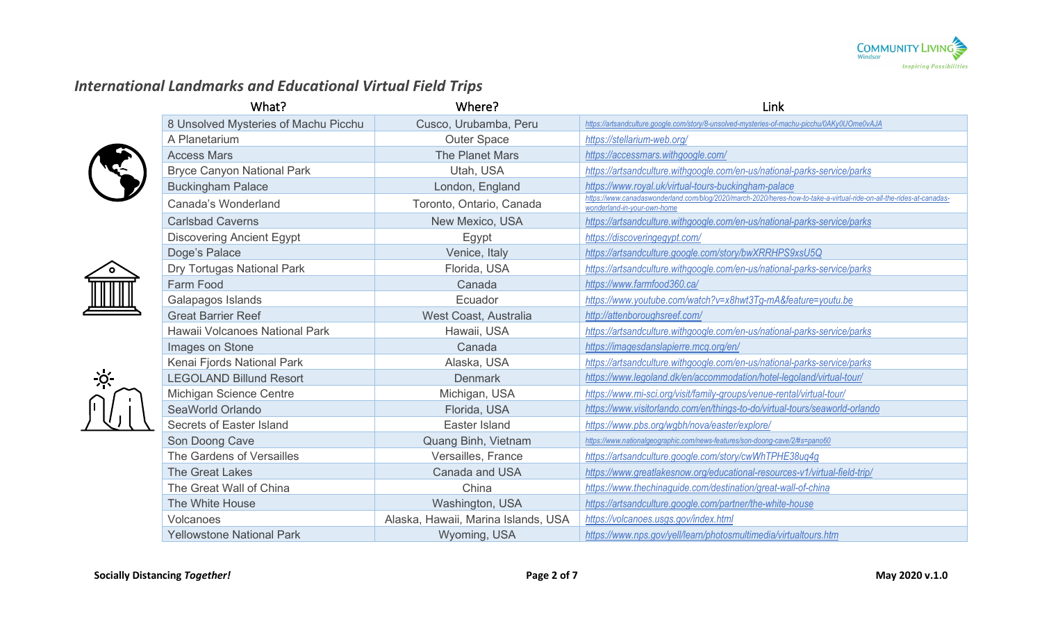

# *International Landmarks and Educational Virtual Field Trips*



 $\overline{Q}$ 

| Cusco, Urubamba, Peru               | https://artsandculture.google.com/story/8-unsolved-mysteries-of-machu-picchu/0AKy0UOme0vAJA                                                         |
|-------------------------------------|-----------------------------------------------------------------------------------------------------------------------------------------------------|
| <b>Outer Space</b>                  | https://stellarium-web.org/                                                                                                                         |
| <b>The Planet Mars</b>              | https://accessmars.withgoogle.com/                                                                                                                  |
| Utah, USA                           | https://artsandculture.withgoogle.com/en-us/national-parks-service/parks                                                                            |
| London, England                     | https://www.royal.uk/virtual-tours-buckingham-palace                                                                                                |
| Toronto, Ontario, Canada            | https://www.canadaswonderland.com/blog/2020/march-2020/heres-how-to-take-a-virtual-ride-on-all-the-rides-at-canadas-<br>wonderland-in-your-own-home |
| New Mexico, USA                     | https://artsandculture.withgoogle.com/en-us/national-parks-service/parks                                                                            |
| Egypt                               | https://discoveringegypt.com/                                                                                                                       |
| Venice, Italy                       | https://artsandculture.google.com/story/bwXRRHPS9xsU5Q                                                                                              |
| Florida, USA                        | https://artsandculture.withgoogle.com/en-us/national-parks-service/parks                                                                            |
| Canada                              | https://www.farmfood360.ca/                                                                                                                         |
| Ecuador                             | https://www.youtube.com/watch?v=x8hwt3Tg-mA&feature=youtu.be                                                                                        |
| West Coast, Australia               | http://attenboroughsreef.com/                                                                                                                       |
| Hawaii, USA                         | https://artsandculture.withgoogle.com/en-us/national-parks-service/parks                                                                            |
| Canada                              | https://imagesdanslapierre.mcg.org/en/                                                                                                              |
| Alaska, USA                         | https://artsandculture.withgoogle.com/en-us/national-parks-service/parks                                                                            |
| <b>Denmark</b>                      | https://www.legoland.dk/en/accommodation/hotel-legoland/virtual-tour/                                                                               |
| Michigan, USA                       | https://www.mi-sci.org/visit/family-groups/venue-rental/virtual-tour/                                                                               |
| Florida, USA                        | https://www.visitorlando.com/en/things-to-do/virtual-tours/seaworld-orlando                                                                         |
| Easter Island                       | https://www.pbs.org/wgbh/nova/easter/explore/                                                                                                       |
| Quang Binh, Vietnam                 | https://www.nationalgeographic.com/news-features/son-doong-cave/2/#s=pano60                                                                         |
| Versailles, France                  | https://artsandculture.google.com/story/cwWhTPHE38uq4g                                                                                              |
| <b>Canada and USA</b>               | https://www.greatlakesnow.org/educational-resources-v1/virtual-field-trip/                                                                          |
| China                               | https://www.thechinaguide.com/destination/great-wall-of-china                                                                                       |
| Washington, USA                     | https://artsandculture.google.com/partner/the-white-house                                                                                           |
| Alaska, Hawaii, Marina Islands, USA | https://volcanoes.usgs.gov/index.html                                                                                                               |
| Wyoming, USA                        | https://www.nps.gov/yell/learn/photosmultimedia/virtualtours.htm                                                                                    |
|                                     |                                                                                                                                                     |

What? Note that the Music Controller Where? Where the Controller where  $\mathcal{L}$  ink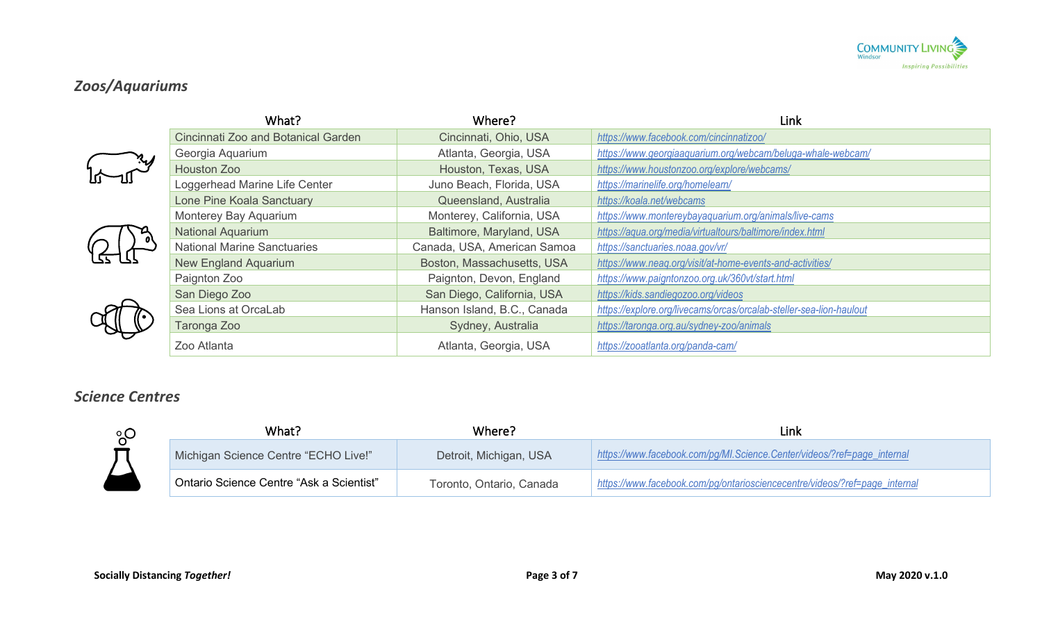

# *Zoos/Aquariums*

|  | What?                               | Where?                      | Link                                                                |
|--|-------------------------------------|-----------------------------|---------------------------------------------------------------------|
|  | Cincinnati Zoo and Botanical Garden | Cincinnati, Ohio, USA       | https://www.facebook.com/cincinnatizoo/                             |
|  | Georgia Aquarium                    | Atlanta, Georgia, USA       | https://www.georgiaaquarium.org/webcam/beluga-whale-webcam/         |
|  | Houston Zoo                         | Houston, Texas, USA         | https://www.houstonzoo.org/explore/webcams/                         |
|  | Loggerhead Marine Life Center       | Juno Beach, Florida, USA    | https://marinelife.org/homelearn/                                   |
|  | Lone Pine Koala Sanctuary           | Queensland, Australia       | https://koala.net/webcams                                           |
|  | Monterey Bay Aquarium               | Monterey, California, USA   | https://www.montereybayaquarium.org/animals/live-cams               |
|  | <b>National Aquarium</b>            | Baltimore, Maryland, USA    | https://aqua.org/media/virtualtours/baltimore/index.html            |
|  | <b>National Marine Sanctuaries</b>  | Canada, USA, American Samoa | https://sanctuaries.noaa.gov/vr/                                    |
|  | <b>New England Aquarium</b>         | Boston, Massachusetts, USA  | https://www.neag.org/visit/at-home-events-and-activities/           |
|  | Paignton Zoo                        | Paignton, Devon, England    | https://www.paigntonzoo.org.uk/360vt/start.html                     |
|  | San Diego Zoo                       | San Diego, California, USA  | https://kids.sandiegozoo.org/videos                                 |
|  | Sea Lions at OrcaLab                | Hanson Island, B.C., Canada | https://explore.org/livecams/orcas/orcalab-steller-sea-lion-haulout |
|  | Taronga Zoo                         | Sydney, Australia           | https://taronga.org.au/sydney-zoo/animals                           |
|  | Zoo Atlanta                         | Atlanta, Georgia, USA       | https://zooatlanta.org/panda-cam/                                   |

#### *Science Centres*



| What?                                    | Where?                   | Link                                                                       |
|------------------------------------------|--------------------------|----------------------------------------------------------------------------|
| Michigan Science Centre "ECHO Live!"     | Detroit, Michigan, USA   | https://www.facebook.com/pg/MI.Science.Center/videos/?ref=page_internal    |
| Ontario Science Centre "Ask a Scientist" | Toronto, Ontario, Canada | https://www.facebook.com/pg/ontariosciencecentre/videos/?ref=page_internal |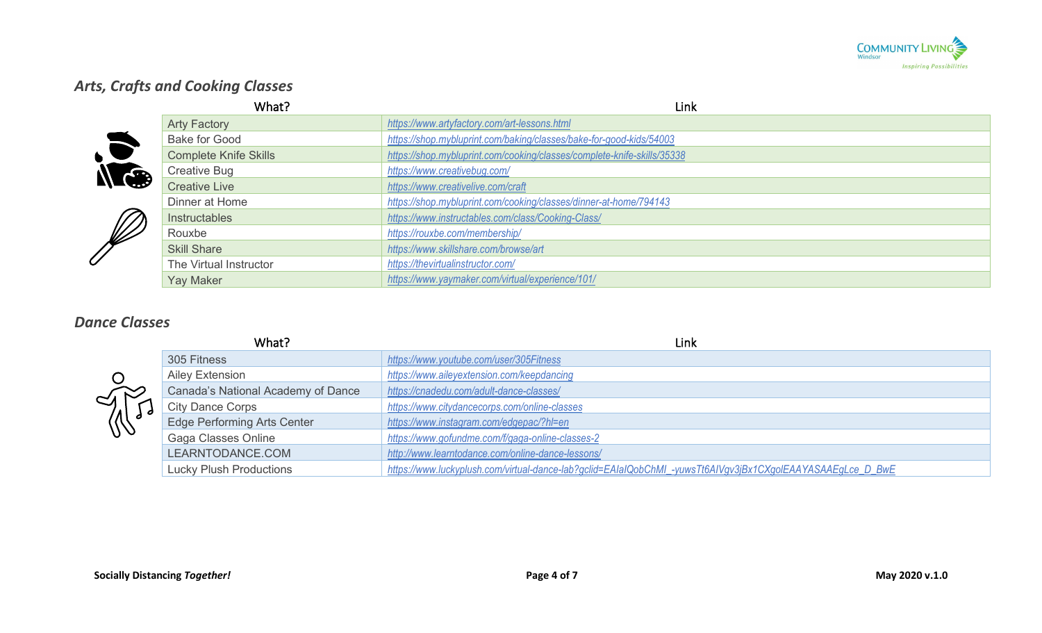

# *Arts, Crafts and Cooking Classes*

|                 | What?                        | Link                                                                    |
|-----------------|------------------------------|-------------------------------------------------------------------------|
|                 | <b>Arty Factory</b>          | https://www.artyfactory.com/art-lessons.html                            |
|                 | <b>Bake for Good</b>         | https://shop.mybluprint.com/baking/classes/bake-for-good-kids/54003     |
| $\bullet$       | <b>Complete Knife Skills</b> | https://shop.mybluprint.com/cooking/classes/complete-knife-skills/35338 |
| N <sub>ce</sub> | <b>Creative Bug</b>          | https://www.creativebug.com/                                            |
|                 | <b>Creative Live</b>         | https://www.creativelive.com/craft                                      |
|                 | Dinner at Home               | https://shop.mybluprint.com/cooking/classes/dinner-at-home/794143       |
|                 | Instructables                | https://www.instructables.com/class/Cooking-Class/                      |
| W               | Rouxbe                       | https://rouxbe.com/membership/                                          |
|                 | <b>Skill Share</b>           | https://www.skillshare.com/browse/art                                   |
|                 | The Virtual Instructor       | https://thevirtualinstructor.com/                                       |
|                 | <b>Yay Maker</b>             | https://www.yaymaker.com/virtual/experience/101/                        |

### *Dance Classes*

| What?              |                                    | <b>Link</b>                                                                                                |
|--------------------|------------------------------------|------------------------------------------------------------------------------------------------------------|
| $\sim_A$ $\approx$ | 305 Fitness                        | https://www.youtube.com/user/305Fitness                                                                    |
|                    | Ailey Extension                    | https://www.aileyextension.com/keepdancing                                                                 |
|                    | Canada's National Academy of Dance | https://cnadedu.com/adult-dance-classes/                                                                   |
|                    | <b>City Dance Corps</b>            | https://www.citydancecorps.com/online-classes                                                              |
| W                  | <b>Edge Performing Arts Center</b> | https://www.instagram.com/edgepac/?hl=en                                                                   |
|                    | Gaga Classes Online                | https://www.gofundme.com/f/gaga-online-classes-2                                                           |
|                    | LEARNTODANCE.COM                   | http://www.learntodance.com/online-dance-lessons/                                                          |
|                    | <b>Lucky Plush Productions</b>     | https://www.luckyplush.com/virtual-dance-lab?gclid=EAIaIQobChMI_-yuwsTt6AIVgv3jBx1CXgoIEAAYASAAEgLce_D_BwE |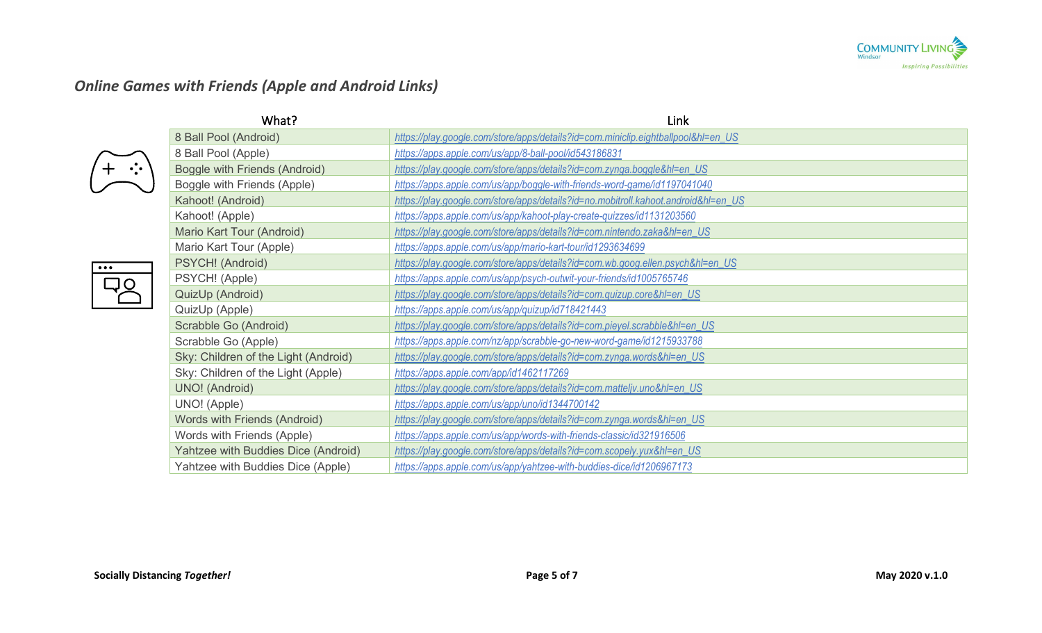

# *Online Games with Friends (Apple and Android Links)*

 $\bullet \bullet \bullet$ 

|                         | What?                                | Link                                                                               |
|-------------------------|--------------------------------------|------------------------------------------------------------------------------------|
|                         | 8 Ball Pool (Android)                | https://play.google.com/store/apps/details?id=com.miniclip.eightballpool&hl=en_US  |
|                         | 8 Ball Pool (Apple)                  | https://apps.apple.com/us/app/8-ball-pool/id543186831                              |
|                         | Boggle with Friends (Android)        | https://play.google.com/store/apps/details?id=com.zynga.boggle&hl=en_US            |
|                         | Boggle with Friends (Apple)          | https://apps.apple.com/us/app/boggle-with-friends-word-game/id1197041040           |
|                         | Kahoot! (Android)                    | https://play.google.com/store/apps/details?id=no.mobitroll.kahoot.android&hl=en_US |
|                         | Kahoot! (Apple)                      | https://apps.apple.com/us/app/kahoot-play-create-quizzes/id1131203560              |
|                         | Mario Kart Tour (Android)            | https://play.google.com/store/apps/details?id=com.nintendo.zaka&hl=en_US           |
|                         | Mario Kart Tour (Apple)              | https://apps.apple.com/us/app/mario-kart-tour/id1293634699                         |
| $\bullet\bullet\bullet$ | PSYCH! (Android)                     | https://play.google.com/store/apps/details?id=com.wb.goog.ellen.psych&hl=en_US     |
|                         | PSYCH! (Apple)                       | https://apps.apple.com/us/app/psych-outwit-your-friends/id1005765746               |
|                         | QuizUp (Android)                     | https://play.google.com/store/apps/details?id=com.quizup.core&hl=en_US             |
|                         | QuizUp (Apple)                       | https://apps.apple.com/us/app/quizup/id718421443                                   |
|                         | Scrabble Go (Android)                | https://play.google.com/store/apps/details?id=com.pieyel.scrabble&hl=en_US         |
|                         | Scrabble Go (Apple)                  | https://apps.apple.com/nz/app/scrabble-go-new-word-game/id1215933788               |
|                         | Sky: Children of the Light (Android) | https://play.google.com/store/apps/details?id=com.zynga.words&hl=en_US             |
|                         | Sky: Children of the Light (Apple)   | https://apps.apple.com/app/id1462117269                                            |
|                         | <b>UNO!</b> (Android)                | https://play.google.com/store/apps/details?id=com.matteljv.uno&hl=en_US            |
|                         | UNO! (Apple)                         | https://apps.apple.com/us/app/uno/id1344700142                                     |
|                         | Words with Friends (Android)         | https://play.google.com/store/apps/details?id=com.zynga.words&hl=en_US             |
|                         | Words with Friends (Apple)           | https://apps.apple.com/us/app/words-with-friends-classic/id321916506               |
|                         | Yahtzee with Buddies Dice (Android)  | https://play.google.com/store/apps/details?id=com.scopely.yux&hl=en_US             |
|                         | Yahtzee with Buddies Dice (Apple)    | https://apps.apple.com/us/app/yahtzee-with-buddies-dice/id1206967173               |
|                         |                                      |                                                                                    |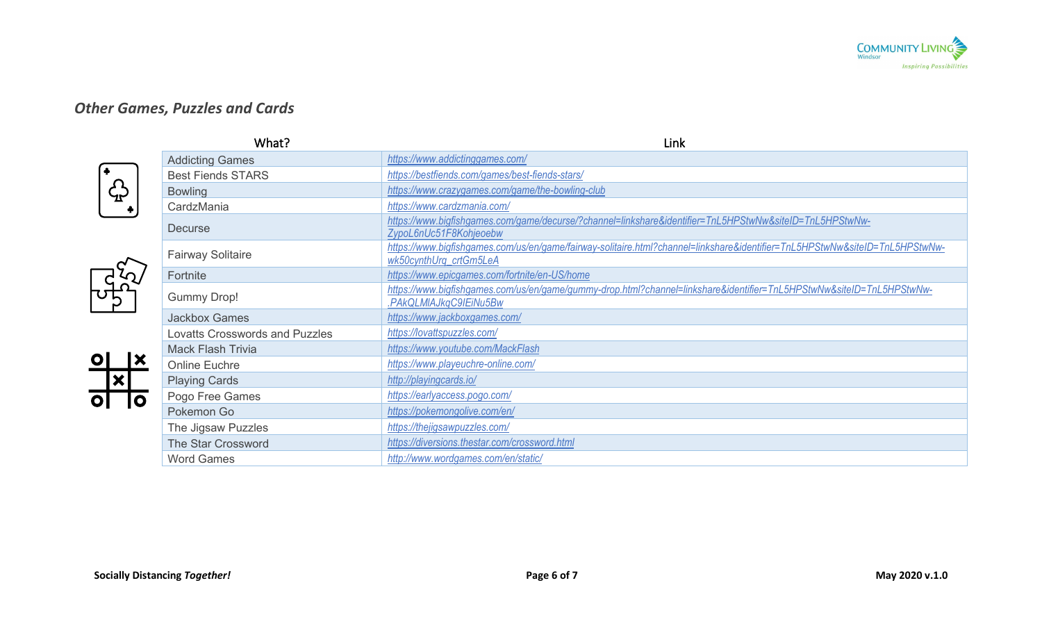

### *Other Games, Puzzles and Cards*



| What?                                 | Link                                                                                                                                                  |
|---------------------------------------|-------------------------------------------------------------------------------------------------------------------------------------------------------|
| <b>Addicting Games</b>                | https://www.addictinggames.com/                                                                                                                       |
| <b>Best Fiends STARS</b>              | https://bestfiends.com/games/best-fiends-stars/                                                                                                       |
| <b>Bowling</b>                        | https://www.crazygames.com/game/the-bowling-club                                                                                                      |
| CardzMania                            | https://www.cardzmania.com/                                                                                                                           |
|                                       | https://www.bigfishgames.com/game/decurse/?channel=linkshare&identifier=TnL5HPStwNw&siteID=TnL5HPStwNw-                                               |
|                                       | ZypoL6nUc51F8Kohjeoebw                                                                                                                                |
| <b>Fairway Solitaire</b>              | https://www.bigfishgames.com/us/en/game/fairway-solitaire.html?channel=linkshare&identifier=TnL5HPStwNw&siteID=TnL5HPStwNw-<br>wk50cynthUrg_crtGm5LeA |
|                                       | https://www.epicgames.com/fortnite/en-US/home                                                                                                         |
|                                       | https://www.bigfishgames.com/us/en/game/gummy-drop.html?channel=linkshare&identifier=TnL5HPStwNw&siteID=TnL5HPStwNw-                                  |
|                                       | .PAkQLMIAJkqC9IEiNu5Bw                                                                                                                                |
| <b>Jackbox Games</b>                  | https://www.jackboxgames.com/                                                                                                                         |
| <b>Lovatts Crosswords and Puzzles</b> | https://lovattspuzzles.com/                                                                                                                           |
| <b>Mack Flash Trivia</b>              | https://www.youtube.com/MackFlash                                                                                                                     |
| <b>Online Euchre</b>                  | https://www.playeuchre-online.com/                                                                                                                    |
| <b>Playing Cards</b>                  | http://playingcards.io/                                                                                                                               |
| Pogo Free Games                       | https://earlyaccess.pogo.com/                                                                                                                         |
| Pokemon Go                            | https://pokemongolive.com/en/                                                                                                                         |
| The Jigsaw Puzzles                    | https://thejigsawpuzzles.com/                                                                                                                         |
| The Star Crossword                    | https://diversions.thestar.com/crossword.html                                                                                                         |
| <b>Word Games</b>                     | http://www.wordgames.com/en/static/                                                                                                                   |
|                                       | <b>Decurse</b><br>Fortnite<br><b>Gummy Drop!</b>                                                                                                      |